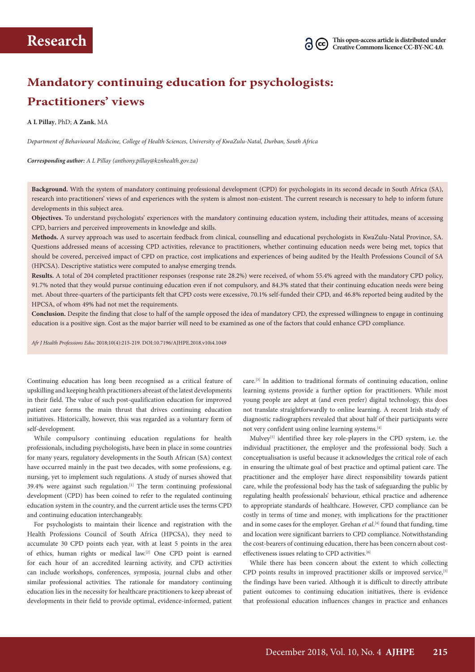

# **Mandatory continuing education for psychologists: Practitioners' views**

**A L Pillay**, PhD; **A Zank**, MA

*Department of Behavioural Medicine, College of Health Sciences, University of KwaZulu-Natal, Durban, South Africa*

*Corresponding author: A L Pillay (anthony.pillay@kznhealth.gov.za)* 

**Background.** With the system of mandatory continuing professional development (CPD) for psychologists in its second decade in South Africa (SA), research into practitioners' views of and experiences with the system is almost non-existent. The current research is necessary to help to inform future developments in this subject area.

**Objectives.** To understand psychologists' experiences with the mandatory continuing education system, including their attitudes, means of accessing CPD, barriers and perceived improvements in knowledge and skills.

**Methods.** A survey approach was used to ascertain feedback from clinical, counselling and educational psychologists in KwaZulu-Natal Province, SA. Questions addressed means of accessing CPD activities, relevance to practitioners, whether continuing education needs were being met, topics that should be covered, perceived impact of CPD on practice, cost implications and experiences of being audited by the Health Professions Council of SA (HPCSA). Descriptive statistics were computed to analyse emerging trends.

**Results.** A total of 204 completed practitioner responses (response rate 28.2%) were received, of whom 55.4% agreed with the mandatory CPD policy, 91.7% noted that they would pursue continuing education even if not compulsory, and 84.3% stated that their continuing education needs were being met. About three-quarters of the participants felt that CPD costs were excessive, 70.1% self-funded their CPD, and 46.8% reported being audited by the HPCSA, of whom 49% had not met the requirements.

**Conclusion.** Despite the finding that close to half of the sample opposed the idea of mandatory CPD, the expressed willingness to engage in continuing education is a positive sign. Cost as the major barrier will need to be examined as one of the factors that could enhance CPD compliance.

*Afr J Health Professions Educ* 2018;10(4):215-219. DOI:10.7196/AJHPE.2018.v10i4.1049

Continuing education has long been recognised as a critical feature of upskilling and keeping health practitioners abreast of the latest developments in their field. The value of such post-qualification education for improved patient care forms the main thrust that drives continuing education initiatives. Historically, however, this was regarded as a voluntary form of self-development.

While compulsory continuing education regulations for health professionals, including psychologists, have been in place in some countries for many years, regulatory developments in the South African (SA) context have occurred mainly in the past two decades, with some professions, e.g. nursing, yet to implement such regulations. A study of nurses showed that  $39.4\%$  were against such regulation.<sup>[1]</sup> The term continuing professional development (CPD) has been coined to refer to the regulated continuing education system in the country, and the current article uses the terms CPD and continuing education interchangeably.

For psychologists to maintain their licence and registration with the Health Professions Council of South Africa (HPCSA), they need to accumulate 30 CPD points each year, with at least 5 points in the area of ethics, human rights or medical law.[2] One CPD point is earned for each hour of an accredited learning activity, and CPD activities can include workshops, conferences, symposia, journal clubs and other similar professional activities. The rationale for mandatory continuing education lies in the necessity for healthcare practitioners to keep abreast of developments in their field to provide optimal, evidence-informed, patient

care.[3] In addition to traditional formats of continuing education, online learning systems provide a further option for practitioners. While most young people are adept at (and even prefer) digital technology, this does not translate straightforwardly to online learning. A recent Irish study of diagnostic radiographers revealed that about half of their participants were not very confident using online learning systems.[4]

Mulvey<sup>[5]</sup> identified three key role-players in the CPD system, i.e. the individual practitioner, the employer and the professional body. Such a conceptualisation is useful because it acknowledges the critical role of each in ensuring the ultimate goal of best practice and optimal patient care. The practitioner and the employer have direct responsibility towards patient care, while the professional body has the task of safeguarding the public by regulating health professionals' behaviour, ethical practice and adherence to appropriate standards of healthcare. However, CPD compliance can be costly in terms of time and money, with implications for the practitioner and in some cases for the employer. Grehan *et al*. [4] found that funding, time and location were significant barriers to CPD compliance. Notwithstanding the cost-bearers of continuing education, there has been concern about costeffectiveness issues relating to CPD activities.[6]

While there has been concern about the extent to which collecting CPD points results in improved practitioner skills or improved service,<sup>[5]</sup> the findings have been varied. Although it is difficult to directly attribute patient outcomes to continuing education initiatives, there is evidence that professional education influences changes in practice and enhances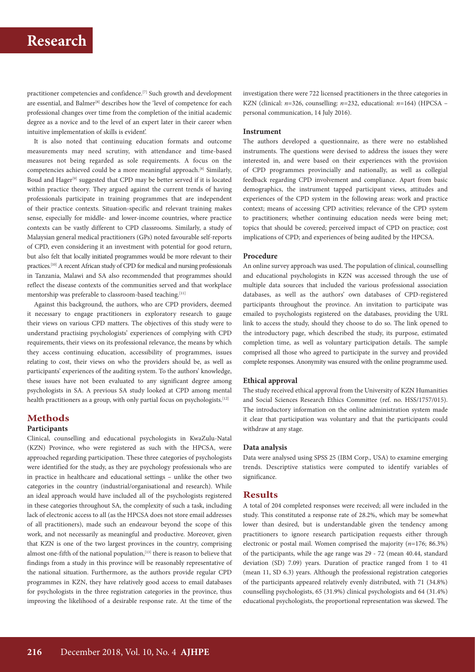practitioner competencies and confidence.[7] Such growth and development are essential, and Balmer<sup>[8]</sup> describes how the 'level of competence for each professional changes over time from the completion of the initial academic degree as a novice and to the level of an expert later in their career when intuitive implementation of skills is evident'.

It is also noted that continuing education formats and outcome measurements may need scrutiny, with attendance and time-based measures not being regarded as sole requirements. A focus on the competencies achieved could be a more meaningful approach.[8] Similarly, Boud and Hager<sup>[9]</sup> suggested that CPD may be better served if it is located within practice theory. They argued against the current trends of having professionals participate in training programmes that are independent of their practice contexts. Situation-specific and relevant training makes sense, especially for middle- and lower-income countries, where practice contexts can be vastly different to CPD classrooms. Similarly, a study of Malaysian general medical practitioners (GPs) noted favourable self-reports of CPD, even considering it an investment with potential for good return, but also felt that locally initiated programmes would be more relevant to their practices.[10] A recent African study of CPD for medical and nursing professionals in Tanzania, Malawi and SA also recommended that programmes should reflect the disease contexts of the communities served and that workplace mentorship was preferable to classroom-based teaching.[11]

Against this background, the authors, who are CPD providers, deemed it necessary to engage practitioners in exploratory research to gauge their views on various CPD matters. The objectives of this study were to understand practising psychologists' experiences of complying with CPD requirements, their views on its professional relevance, the means by which they access continuing education, accessibility of programmes, issues relating to cost, their views on who the providers should be, as well as participants' experiences of the auditing system. To the authors' knowledge, these issues have not been evaluated to any significant degree among psychologists in SA. A previous SA study looked at CPD among mental health practitioners as a group, with only partial focus on psychologists.<sup>[12]</sup>

## **Methods**

### **Participants**

Clinical, counselling and educational psychologists in KwaZulu-Natal (KZN) Province, who were registered as such with the HPCSA, were approached regarding participation. These three categories of psychologists were identified for the study, as they are psychology professionals who are in practice in healthcare and educational settings – unlike the other two categories in the country (industrial/organisational and research). While an ideal approach would have included all of the psychologists registered in these categories throughout SA, the complexity of such a task, including lack of electronic access to all (as the HPCSA does not store email addresses of all practitioners), made such an endeavour beyond the scope of this work, and not necessarily as meaningful and productive. Moreover, given that KZN is one of the two largest provinces in the country, comprising almost one-fifth of the national population,<sup>[13]</sup> there is reason to believe that findings from a study in this province will be reasonably representative of the national situation. Furthermore, as the authors provide regular CPD programmes in KZN, they have relatively good access to email databases for psychologists in the three registration categories in the province, thus improving the likelihood of a desirable response rate. At the time of the

investigation there were 722 licensed practitioners in the three categories in KZN (clinical: *n*=326, counselling: *n*=232, educational: *n*=164) (HPCSA – personal communication, 14 July 2016).

### **Instrument**

The authors developed a questionnaire, as there were no established instruments. The questions were devised to address the issues they were interested in, and were based on their experiences with the provision of CPD programmes provincially and nationally, as well as collegial feedback regarding CPD involvement and compliance. Apart from basic demographics, the instrument tapped participant views, attitudes and experiences of the CPD system in the following areas: work and practice context; means of accessing CPD activities; relevance of the CPD system to practitioners; whether continuing education needs were being met; topics that should be covered; perceived impact of CPD on practice; cost implications of CPD; and experiences of being audited by the HPCSA.

### **Procedure**

An online survey approach was used. The population of clinical, counselling and educational psychologists in KZN was accessed through the use of multiple data sources that included the various professional association databases, as well as the authors' own databases of CPD-registered participants throughout the province. An invitation to participate was emailed to psychologists registered on the databases, providing the URL link to access the study, should they choose to do so. The link opened to the introductory page, which described the study, its purpose, estimated completion time, as well as voluntary participation details. The sample comprised all those who agreed to participate in the survey and provided complete responses. Anonymity was ensured with the online programme used.

### **Ethical approval**

The study received ethical approval from the University of KZN Humanities and Social Sciences Research Ethics Committee (ref. no. HSS/1757/015). The introductory information on the online administration system made it clear that participation was voluntary and that the participants could withdraw at any stage.

### **Data analysis**

Data were analysed using SPSS 25 (IBM Corp., USA) to examine emerging trends. Descriptive statistics were computed to identify variables of significance.

### **Results**

A total of 204 completed responses were received; all were included in the study. This constituted a response rate of 28.2%, which may be somewhat lower than desired, but is understandable given the tendency among practitioners to ignore research participation requests either through electronic or postal mail. Women comprised the majority (*n*=176; 86.3%) of the participants, while the age range was 29 - 72 (mean 40.44, standard deviation (SD) 7.09) years. Duration of practice ranged from 1 to 41 (mean 11, SD 6.3) years. Although the professional registration categories of the participants appeared relatively evenly distributed, with 71 (34.8%) counselling psychologists, 65 (31.9%) clinical psychologists and 64 (31.4%) educational psychologists, the proportional representation was skewed. The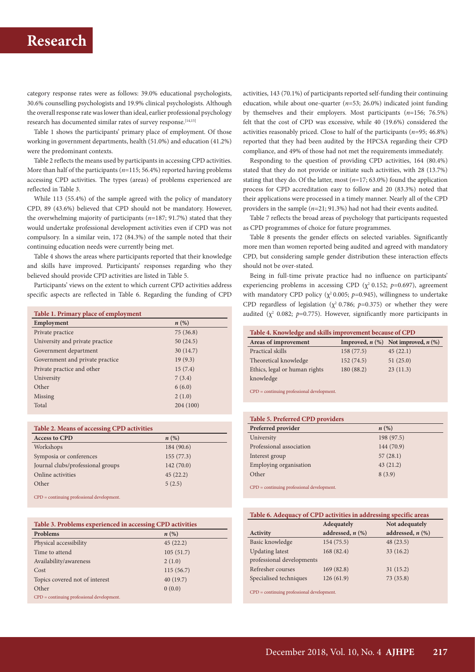## **Research**

category response rates were as follows: 39.0% educational psychologists, 30.6% counselling psychologists and 19.9% clinical psychologists. Although the overall response rate was lower than ideal, earlier professional psychology research has documented similar rates of survey response.<sup>[14,15]</sup>

Table 1 shows the participants' primary place of employment. Of those working in government departments, health (51.0%) and education (41.2%) were the predominant contexts.

Table 2 reflects the means used by participants in accessing CPD activities. More than half of the participants (*n*=115; 56.4%) reported having problems accessing CPD activities. The types (areas) of problems experienced are reflected in Table 3.

While 113 (55.4%) of the sample agreed with the policy of mandatory CPD, 89 (43.6%) believed that CPD should not be mandatory. However, the overwhelming majority of participants (*n*=187; 91.7%) stated that they would undertake professional development activities even if CPD was not compulsory. In a similar vein, 172 (84.3%) of the sample noted that their continuing education needs were currently being met.

Table 4 shows the areas where participants reported that their knowledge and skills have improved. Participants' responses regarding who they believed should provide CPD activities are listed in Table 5.

Participants' views on the extent to which current CPD activities address specific aspects are reflected in Table 6. Regarding the funding of CPD

| Table 1. Primary place of employment |                    |  |
|--------------------------------------|--------------------|--|
| Employment                           | $n\left(\%\right)$ |  |
| Private practice                     | 75(36.8)           |  |
| University and private practice      | 50(24.5)           |  |
| Government department                | 30(14.7)           |  |
| Government and private practice      | 19(9.3)            |  |
| Private practice and other           | 15(7.4)            |  |
| University                           | 7(3.4)             |  |
| Other                                | 6(6.0)             |  |
| Missing                              | 2(1.0)             |  |
| Total                                | 204 (100)          |  |
|                                      |                    |  |

| Table 2. Means of accessing CPD activities |            |  |
|--------------------------------------------|------------|--|
| <b>Access to CPD</b>                       | n(%)       |  |
| Workshops                                  | 184 (90.6) |  |
| Symposia or conferences                    | 155(77.3)  |  |
| Journal clubs/professional groups          | 142(70.0)  |  |
| Online activities                          | 45(22.2)   |  |
| Other                                      | 5(2.5)     |  |
|                                            |            |  |

CPD = continuing professional development.

| Table 3. Problems experienced in accessing CPD activities |                    |  |
|-----------------------------------------------------------|--------------------|--|
| Problems                                                  | $n\left(\%\right)$ |  |
| Physical accessibility                                    | 45(22.2)           |  |
| Time to attend                                            | 105(51.7)          |  |
| Availability/awareness                                    | 2(1.0)             |  |
| Cost                                                      | 115(56.7)          |  |
| Topics covered not of interest                            | 40(19.7)           |  |
| Other                                                     | 0(0.0)             |  |
| $CPD =$ continuing professional development.              |                    |  |

activities, 143 (70.1%) of participants reported self-funding their continuing education, while about one-quarter (*n*=53; 26.0%) indicated joint funding by themselves and their employers. Most participants (*n*=156; 76.5%) felt that the cost of CPD was excessive, while 40 (19.6%) considered the activities reasonably priced. Close to half of the participants (*n*=95; 46.8%) reported that they had been audited by the HPCSA regarding their CPD compliance, and 49% of those had not met the requirements immediately.

Responding to the question of providing CPD activities, 164 (80.4%) stated that they do not provide or initiate such activities, with 28 (13.7%) stating that they do. Of the latter, most (*n*=17; 63.0%) found the application process for CPD accreditation easy to follow and 20 (83.3%) noted that their applications were processed in a timely manner. Nearly all of the CPD providers in the sample (*n*=21; 91.3%) had not had their events audited.

Table 7 reflects the broad areas of psychology that participants requested as CPD programmes of choice for future programmes.

Table 8 presents the gender effects on selected variables. Significantly more men than women reported being audited and agreed with mandatory CPD, but considering sample gender distribution these interaction effects should not be over-stated.

Being in full-time private practice had no influence on participants' experiencing problems in accessing CPD ( $\chi^2$  0.152; *p*=0.697), agreement with mandatory CPD policy ( $\chi^2$  0.005;  $p=0.945$ ), willingness to undertake CPD regardless of legislation ( $\chi^2$  0.786; *p*=0.375) or whether they were audited  $(\chi^2$  0.082; *p*=0.775). However, significantly more participants in

| Table 4. Knowledge and skills improvement because of CPD |            |                                         |  |
|----------------------------------------------------------|------------|-----------------------------------------|--|
| Areas of improvement                                     |            | Improved, $n$ (%) Not improved, $n$ (%) |  |
| Practical skills                                         | 158(77.5)  | 45(22.1)                                |  |
| Theoretical knowledge                                    | 152(74.5)  | 51(25.0)                                |  |
| Ethics, legal or human rights                            | 180 (88.2) | 23(11.3)                                |  |
| knowledge                                                |            |                                         |  |

CPD = continuing professional development.

| Table 5. Preferred CPD providers             |            |  |
|----------------------------------------------|------------|--|
| Preferred provider                           | n(%)       |  |
| University                                   | 198 (97.5) |  |
| Professional association                     | 144 (70.9) |  |
| Interest group                               | 57(28.1)   |  |
| Employing organisation                       | 43(21.2)   |  |
| Other                                        | 8(3.9)     |  |
| $CPD =$ continuing professional development. |            |  |

|  | Table 6. Adequacy of CPD activities in addressing specific areas |
|--|------------------------------------------------------------------|
|  |                                                                  |

|                           | Adequately            | Not adequately        |
|---------------------------|-----------------------|-----------------------|
| Activity                  | addressed, $n$ $(\%)$ | addressed, $n$ $(\%)$ |
| Basic knowledge           | 154(75.5)             | 48(23.5)              |
| <b>Updating latest</b>    | 168 (82.4)            | 33(16.2)              |
| professional developments |                       |                       |
| Refresher courses         | 169(82.8)             | 31(15.2)              |
| Specialised techniques    | 126(61.9)             | 73(35.8)              |
|                           |                       |                       |

CPD = continuing professional development.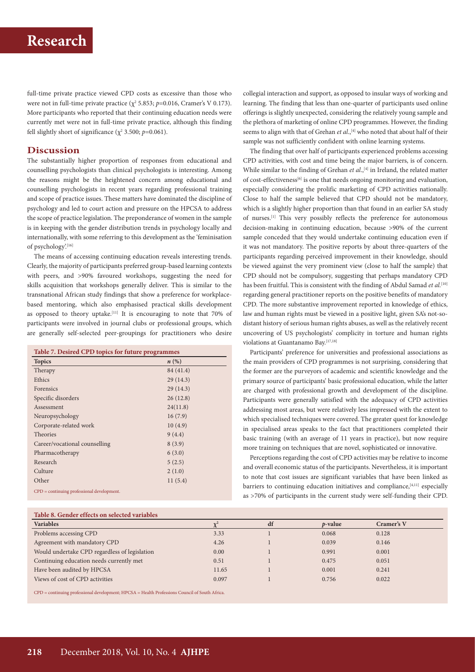# **Research**

full-time private practice viewed CPD costs as excessive than those who were not in full-time private practice ( $\chi^2$  5.853; *p*=0.016, Cramer's V 0.173). More participants who reported that their continuing education needs were currently met were not in full-time private practice, although this finding fell slightly short of significance ( $\chi^2$  3.500;  $p$ =0.061).

## **Discussion**

The substantially higher proportion of responses from educational and counselling psychologists than clinical psychologists is interesting. Among the reasons might be the heightened concern among educational and counselling psychologists in recent years regarding professional training and scope of practice issues. These matters have dominated the discipline of psychology and led to court action and pressure on the HPCSA to address the scope of practice legislation. The preponderance of women in the sample is in keeping with the gender distribution trends in psychology locally and internationally, with some referring to this development as the 'feminisation of psychology'.[16]

The means of accessing continuing education reveals interesting trends. Clearly, the majority of participants preferred group-based learning contexts with peers, and >90% favoured workshops, suggesting the need for skills acquisition that workshops generally deliver. This is similar to the transnational African study findings that show a preference for workplacebased mentoring, which also emphasised practical skills development as opposed to theory uptake.<sup>[11]</sup> It is encouraging to note that 70% of participants were involved in journal clubs or professional groups, which are generally self-selected peer-groupings for practitioners who desire

| Table 7. Desired CPD topics for future programmes |           |  |
|---------------------------------------------------|-----------|--|
| <b>Topics</b>                                     | n(%)      |  |
| Therapy                                           | 84 (41.4) |  |
| Ethics                                            | 29(14.3)  |  |
| Forensics                                         | 29(14.3)  |  |
| Specific disorders                                | 26(12.8)  |  |
| Assessment                                        | 24(11.8)  |  |
| Neuropsychology                                   | 16(7.9)   |  |
| Corporate-related work                            | 10(4.9)   |  |
| <b>Theories</b>                                   | 9(4.4)    |  |
| Career/vocational counselling                     | 8(3.9)    |  |
| Pharmacotherapy                                   | 6(3.0)    |  |
| Research                                          | 5(2.5)    |  |
| Culture                                           | 2(1.0)    |  |
| Other                                             | 11(5.4)   |  |
| $CPD =$ continuing professional development.      |           |  |

**Table 8. Gender effects on selected variables** 

collegial interaction and support, as opposed to insular ways of working and learning. The finding that less than one-quarter of participants used online offerings is slightly unexpected, considering the relatively young sample and the plethora of marketing of online CPD programmes. However, the finding seems to align with that of Grehan et al.,<sup>[4]</sup> who noted that about half of their sample was not sufficiently confident with online learning systems.

The finding that over half of participants experienced problems accessing CPD activities, with cost and time being the major barriers, is of concern. While similar to the finding of Grehan *et al.*,<sup>[4]</sup> in Ireland, the related matter of cost-effectiveness<sup>[6]</sup> is one that needs ongoing monitoring and evaluation, especially considering the prolific marketing of CPD activities nationally. Close to half the sample believed that CPD should not be mandatory, which is a slightly higher proportion than that found in an earlier SA study of nurses.[1] This very possibly reflects the preference for autonomous decision-making in continuing education, because >90% of the current sample conceded that they would undertake continuing education even if it was not mandatory. The positive reports by about three-quarters of the participants regarding perceived improvement in their knowledge, should be viewed against the very prominent view (close to half the sample) that CPD should not be compulsory, suggesting that perhaps mandatory CPD has been fruitful. This is consistent with the finding of Abdul Samad *et al.*<sup>[10]</sup> regarding general practitioner reports on the positive benefits of mandatory CPD. The more substantive improvement reported in knowledge of ethics, law and human rights must be viewed in a positive light, given SA's not-sodistant history of serious human rights abuses, as well as the relatively recent uncovering of US psychologists' complicity in torture and human rights violations at Guantanamo Bay.[17,18]

Participants' preference for universities and professional associations as the main providers of CPD programmes is not surprising, considering that the former are the purveyors of academic and scientific knowledge and the primary source of participants' basic professional education, while the latter are charged with professional growth and development of the discipline. Participants were generally satisfied with the adequacy of CPD activities addressing most areas, but were relatively less impressed with the extent to which specialised techniques were covered. The greater quest for knowledge in specialised areas speaks to the fact that practitioners completed their basic training (with an average of 11 years in practice), but now require more training on techniques that are novel, sophisticated or innovative.

Perceptions regarding the cost of CPD activities may be relative to income and overall economic status of the participants. Nevertheless, it is important to note that cost issues are significant variables that have been linked as barriers to continuing education initiatives and compliance,<sup>[4,11]</sup> especially as >70% of participants in the current study were self-funding their CPD.

| Table 8. Genuer effects on selected variables |       |    |            |            |
|-----------------------------------------------|-------|----|------------|------------|
| <b>Variables</b>                              |       | df | $p$ -value | Cramer's V |
| Problems accessing CPD                        | 3.33  |    | 0.068      | 0.128      |
| Agreement with mandatory CPD                  | 4.26  |    | 0.039      | 0.146      |
| Would undertake CPD regardless of legislation | 0.00  |    | 0.991      | 0.001      |
| Continuing education needs currently met      | 0.51  |    | 0.475      | 0.051      |
| Have been audited by HPCSA                    | 11.65 |    | 0.001      | 0.241      |
| Views of cost of CPD activities               | 0.097 |    | 0.756      | 0.022      |
|                                               |       |    |            |            |

CPD = continuing professional development; HPCSA = Health Professions Council of South Africa.